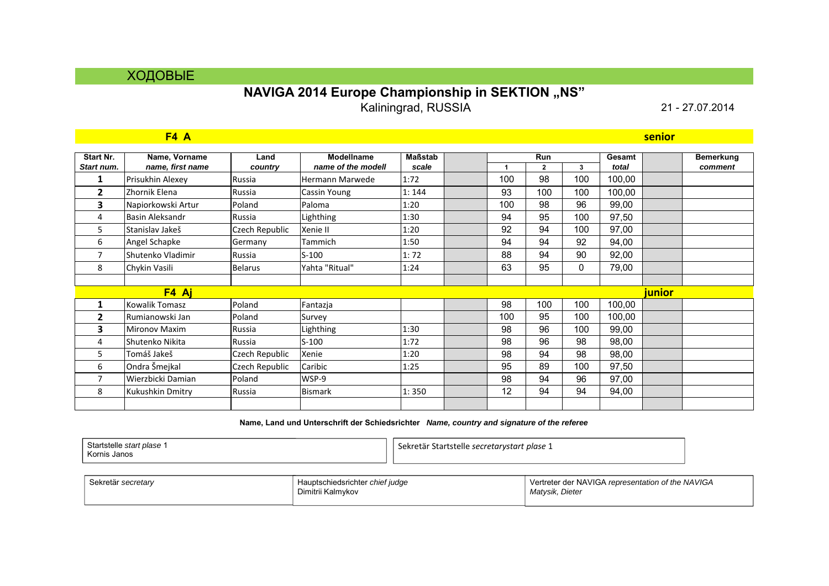## ХОДОВЫЕ

## **NAVIGA 2014 Europe Championship in SEKTION "NS" Kaliningrad, RUSSIA** 21 - 27.07.2014

|                         | F4 A                              |                 |                                         |                         |     |                     |              |                 | senior        |                             |
|-------------------------|-----------------------------------|-----------------|-----------------------------------------|-------------------------|-----|---------------------|--------------|-----------------|---------------|-----------------------------|
| Start Nr.<br>Start num. | Name, Vorname<br>name, first name | Land<br>country | <b>Modellname</b><br>name of the modell | <b>Maßstab</b><br>scale | 1   | Run<br>$\mathbf{2}$ | 3            | Gesamt<br>total |               | <b>Bemerkung</b><br>comment |
| 1                       | Prisukhin Alexey                  | Russia          | Hermann Marwede                         | 1:72                    | 100 | 98                  | 100          | 100,00          |               |                             |
| $\mathbf{2}$            | Zhornik Elena                     | Russia          | Cassin Young                            | 1:144                   | 93  | 100                 | 100          | 100,00          |               |                             |
| 3                       | Napiorkowski Artur                | Poland          | Paloma                                  | 1:20                    | 100 | 98                  | 96           | 99,00           |               |                             |
| 4                       | <b>Basin Aleksandr</b>            | Russia          | Lighthing                               | 1:30                    | 94  | 95                  | 100          | 97,50           |               |                             |
| 5                       | Stanislav Jakeš                   | Czech Republic  | Xenie II                                | 1:20                    | 92  | 94                  | 100          | 97,00           |               |                             |
| 6                       | Angel Schapke                     | Germany         | Tammich                                 | 1:50                    | 94  | 94                  | 92           | 94,00           |               |                             |
| 7                       | Shutenko Vladimir                 | Russia          | $S-100$                                 | 1:72                    | 88  | 94                  | 90           | 92,00           |               |                             |
| 8                       | Chykin Vasili                     | <b>Belarus</b>  | Yahta "Ritual"                          | 1:24                    | 63  | 95                  | $\mathbf{0}$ | 79,00           |               |                             |
|                         |                                   |                 |                                         |                         |     |                     |              |                 |               |                             |
|                         | F4 Aj                             |                 |                                         |                         |     |                     |              |                 | <b>junior</b> |                             |
| 1                       | Kowalik Tomasz                    | Poland          | Fantazja                                |                         | 98  | 100                 | 100          | 100,00          |               |                             |
| 2                       | Rumianowski Jan                   | Poland          | Survey                                  |                         | 100 | 95                  | 100          | 100,00          |               |                             |
| 3                       | <b>Mironov Maxim</b>              | Russia          | Lighthing                               | 1:30                    | 98  | 96                  | 100          | 99,00           |               |                             |
| 4                       | Shutenko Nikita                   | Russia          | $S-100$                                 | 1:72                    | 98  | 96                  | 98           | 98,00           |               |                             |
| 5.                      | Tomáš Jakeš                       | Czech Republic  | Xenie                                   | 1:20                    | 98  | 94                  | 98           | 98,00           |               |                             |
| 6                       | Ondra Šmejkal                     | Czech Republic  | Caribic                                 | 1:25                    | 95  | 89                  | 100          | 97,50           |               |                             |
| 7                       | Wierzbicki Damian                 | Poland          | WSP-9                                   |                         | 98  | 94                  | 96           | 97,00           |               |                             |
| 8                       | Kukushkin Dmitry                  | Russia          | <b>Bismark</b>                          | 1:350                   | 12  | 94                  | 94           | 94,00           |               |                             |
|                         |                                   |                 |                                         |                         |     |                     |              |                 |               |                             |

| Startstelle start plase 1 | .<br>Sekretär Startstelle secretarystart plase 1 |
|---------------------------|--------------------------------------------------|
| Kornis Janos              |                                                  |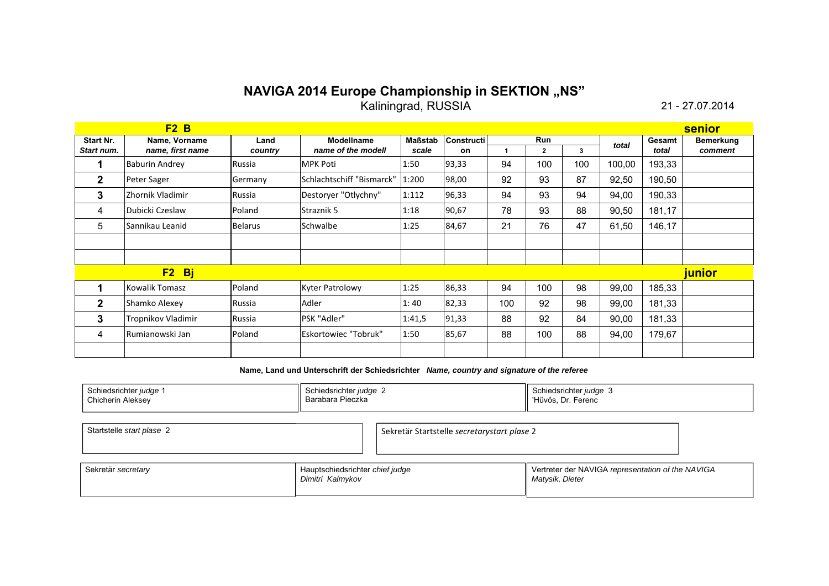## **NAVIGA 2014 Europe Championship in SEKTION "NS" Kaliningrad, RUSSIA** 21 - 27.07.2014

|              | F2B                   |                |                           |                |                   |     |                |     |        |        | <b>senior</b>    |
|--------------|-----------------------|----------------|---------------------------|----------------|-------------------|-----|----------------|-----|--------|--------|------------------|
| Start Nr.    | Name, Vorname         | Land           | <b>Modellname</b>         | <b>Maßstab</b> | <b>Constructi</b> |     | Run            |     | total  | Gesamt | <b>Bemerkung</b> |
| Start num.   | name, first name      | country        | name of the modell        | scale          | on                | 1   | $\overline{2}$ | 3   |        | total  | comment          |
|              | <b>Baburin Andrey</b> | Russia         | <b>MPK Poti</b>           | 1:50           | 93,33             | 94  | 100            | 100 | 100,00 | 193,33 |                  |
| $\mathbf{2}$ | Peter Sager           | Germany        | Schlachtschiff "Bismarck" | 1:200          | 98,00             | 92  | 93             | 87  | 92,50  | 190,50 |                  |
| 3            | Zhornik Vladimir      | Russia         | Destoryer "Otlychny"      | 1:112          | 96,33             | 94  | 93             | 94  | 94,00  | 190,33 |                  |
| 4            | Dubicki Czeslaw       | Poland         | <b>Straznik 5</b>         | 1:18           | 90,67             | 78  | 93             | 88  | 90,50  | 181,17 |                  |
| 5            | Sannikau Leanid       | <b>Belarus</b> | Schwalbe                  | 1:25           | 84,67             | 21  | 76             | 47  | 61,50  | 146,17 |                  |
|              |                       |                |                           |                |                   |     |                |     |        |        |                  |
|              |                       |                |                           |                |                   |     |                |     |        |        |                  |
|              | $F2$ Bj               |                |                           |                |                   |     |                |     |        |        | <b>junior</b>    |
|              | Kowalik Tomasz        | Poland         | <b>Kyter Patrolowy</b>    | 1:25           | 86,33             | 94  | 100            | 98  | 99,00  | 185,33 |                  |
| $\mathbf{2}$ | Shamko Alexey         | Russia         | Adler                     | 1:40           | 82,33             | 100 | 92             | 98  | 99,00  | 181,33 |                  |
| 3            | Tropnikov Vladimir    | Russia         | PSK "Adler"               | 1:41,5         | 91,33             | 88  | 92             | 84  | 90,00  | 181,33 |                  |
| 4            | lRumianowski Jan      | Poland         | Eskortowiec "Tobruk"      | 1:50           | 85,67             | 88  | 100            | 88  | 94,00  | 179,67 |                  |
|              |                       |                |                           |                |                   |     |                |     |        |        |                  |

| Schiedsrichter judge | Schiedsrichter judge 2 | Schiedsrichter <i>iudae</i> |
|----------------------|------------------------|-----------------------------|
| Chicherin Aleksev    | Barabara Pieczka       | Hüvös, Dr. Ferenc           |
|                      |                        |                             |

| Startstelle start plase 2 | Sekretär Startstelle secretarystart plase 2 |  |
|---------------------------|---------------------------------------------|--|
|                           |                                             |  |

| Sekretär secretary | Hauptschiedsrichter chief judge<br>Dimitri Kalmykov | Vertreter der NAVIGA representation of the NAVIGA<br>Matysik, Dieter |
|--------------------|-----------------------------------------------------|----------------------------------------------------------------------|
|--------------------|-----------------------------------------------------|----------------------------------------------------------------------|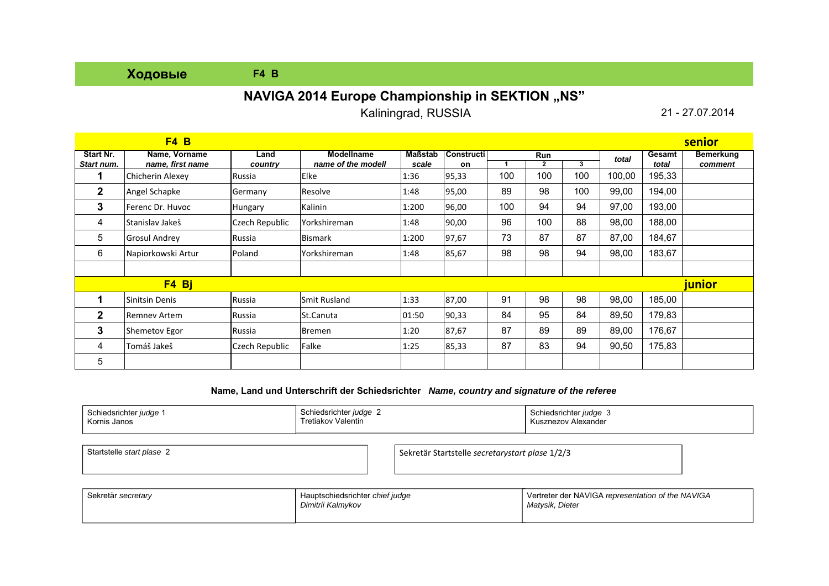## **Ходовые F4 B**

## **NAVIGA 2014 Europe Championship in SEKTION "NS"**

Kaliningrad, RUSSIA

21 - 27.07.2014

|                         | F4B                               |                 |                                         |                  |                          |     |                     |     |        |                 | senior               |
|-------------------------|-----------------------------------|-----------------|-----------------------------------------|------------------|--------------------------|-----|---------------------|-----|--------|-----------------|----------------------|
| Start Nr.<br>Start num. | Name, Vorname<br>name, first name | Land<br>country | <b>Modellname</b><br>name of the modell | Maßstab<br>scale | <b>Constructi</b><br>on. |     | Run<br>$\mathbf{2}$ | 3   | total  | Gesamt<br>total | Bemerkung<br>comment |
|                         | Chicherin Alexey                  | Russia          | Elke                                    | 1:36             | 95,33                    | 100 | 100                 | 100 | 100,00 | 195,33          |                      |
| $\mathbf{2}$            | Angel Schapke                     | Germany         | Resolve                                 | 1:48             | 95,00                    | 89  | 98                  | 100 | 99,00  | 194,00          |                      |
| 3                       | Ferenc Dr. Huvoc                  | Hungary         | Kalinin                                 | 1:200            | 96,00                    | 100 | 94                  | 94  | 97,00  | 193,00          |                      |
| 4                       | Stanislav Jakeš                   | Czech Republic  | Yorkshireman                            | 1:48             | 90,00                    | 96  | 100                 | 88  | 98,00  | 188,00          |                      |
| 5                       | <b>Grosul Andrey</b>              | Russia          | Bismark                                 | 1:200            | 97,67                    | 73  | 87                  | 87  | 87,00  | 184,67          |                      |
| 6                       | Napiorkowski Artur                | Poland          | <b>Yorkshireman</b>                     | 1:48             | 85,67                    | 98  | 98                  | 94  | 98,00  | 183,67          |                      |
|                         |                                   |                 |                                         |                  |                          |     |                     |     |        |                 |                      |
|                         | F4 Bj                             |                 |                                         |                  |                          |     |                     |     |        |                 | junior               |
|                         | Sinitsin Denis                    | Russia          | Smit Rusland                            | 1:33             | 87,00                    | 91  | 98                  | 98  | 98,00  | 185,00          |                      |
| $\mathbf{2}$            | Remney Artem                      | Russia          | St.Canuta                               | 01:50            | 90,33                    | 84  | 95                  | 84  | 89,50  | 179,83          |                      |
| 3                       | <b>Shemetov Egor</b>              | Russia          | Bremen                                  | 1:20             | 87,67                    | 87  | 89                  | 89  | 89,00  | 176,67          |                      |
| 4                       | Tomáš Jakeš                       | Czech Republic  | Falke                                   | 1:25             | 85,33                    | 87  | 83                  | 94  | 90,50  | 175,83          |                      |
| 5                       |                                   |                 |                                         |                  |                          |     |                     |     |        |                 |                      |

#### **Name, Land und Unterschrift der Schiedsrichter** *Name, country and signature of the referee*

| ⊾∼∽          | Schiedsrichter | Schiedsrichter <i>judge</i> |
|--------------|----------------|-----------------------------|
| າເedsrichter | ludae          | . .                         |
| ludae        | . .            | ۰.,                         |
| ווטט         | Valentin       | Alexander                   |
| Kornis Janos | . retiakov     | `znez.                      |
|              |                |                             |
|              |                |                             |

Startstelle start plase 2

*start plase* <sup>2</sup> Sekretär Startstelle *secretarystart plase* 1/2/3

| Sekretär secretary | Hauptschiedsrichter chief judge<br>Dimitrii Kalmykov | Vertreter der NAVIGA representation of the NAVIGA<br>Matysik, Dieter |
|--------------------|------------------------------------------------------|----------------------------------------------------------------------|
|                    |                                                      |                                                                      |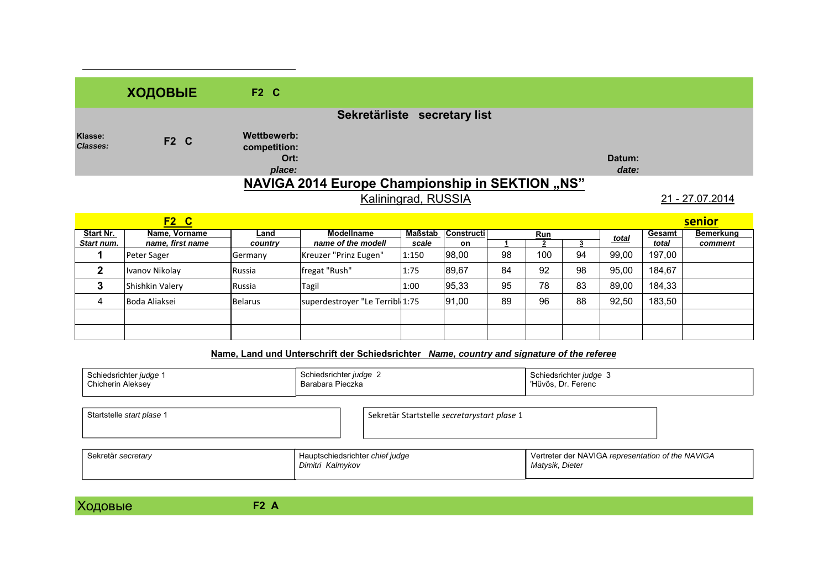|                            | ХОДОВЫЕ     | $F2$ C                                                 |                 |                 |
|----------------------------|-------------|--------------------------------------------------------|-----------------|-----------------|
|                            |             | Sekretärliste secretary list                           |                 |                 |
| Klasse:<br><b>Classes:</b> | <b>F2 C</b> | Wettbewerb:<br>competition:<br>Ort:<br>place:          | Datum:<br>date: |                 |
|                            |             | <b>NAVIGA 2014 Europe Championship in SEKTION "NS"</b> |                 |                 |
|                            |             | Kaliningrad, RUSSIA                                    |                 | 21 - 27.07.2014 |

|            | $F2$ $C$         |                |                                 |         |                   |    |            |    |       |        | <u>senior</u> |
|------------|------------------|----------------|---------------------------------|---------|-------------------|----|------------|----|-------|--------|---------------|
| Start Nr.  | Name, Vorname    | Land           | Modellname                      | Maßstab | <b>Constructi</b> |    | <b>Run</b> |    | total | Gesamt | Bemerkung     |
| Start num. | name, first name | country        | name of the modell              | scale   | on                |    |            |    |       | total  | comment       |
|            | Peter Sager      | Germany        | Kreuzer "Prinz Eugen"           | 1:150   | 98,00             | 98 | 100        | 94 | 99,00 | 197,00 |               |
| ŋ          | Ivanov Nikolav   | Russia         | fregat "Rush"                   | 1:75    | 89,67             | 84 | 92         | 98 | 95,00 | 184.67 |               |
|            | Shishkin Valery  | Russia         | Tagil                           | 1:00    | 95,33             | 95 | 78         | 83 | 89.00 | 184,33 |               |
| Δ          | Boda Aliaksei    | <b>Belarus</b> | superdestroyer "Le Terribl 1:75 |         | 91,00             | 89 | 96         | 88 | 92,50 | 183,50 |               |
|            |                  |                |                                 |         |                   |    |            |    |       |        |               |
|            |                  |                |                                 |         |                   |    |            |    |       |        |               |

### **Name, Land und Unterschrift der Schiedsrichter** *Name, country and signature of the referee*

| Schiedsrichter judge 1<br>Chicherin Aleksey | Schiedsrichter judge 2<br>Barabara Pieczka          |                                             | Schiedsrichter judge 3<br>'Hüvös, Dr. Ferenc                         |  |
|---------------------------------------------|-----------------------------------------------------|---------------------------------------------|----------------------------------------------------------------------|--|
| Startstelle start plase 1                   |                                                     | Sekretär Startstelle secretarystart plase 1 |                                                                      |  |
| Sekretär secretary                          | Hauptschiedsrichter chief judge<br>Dimitri Kalmykov |                                             | Vertreter der NAVIGA representation of the NAVIGA<br>Matysik, Dieter |  |

Ходовые **F2 <sup>А</sup>**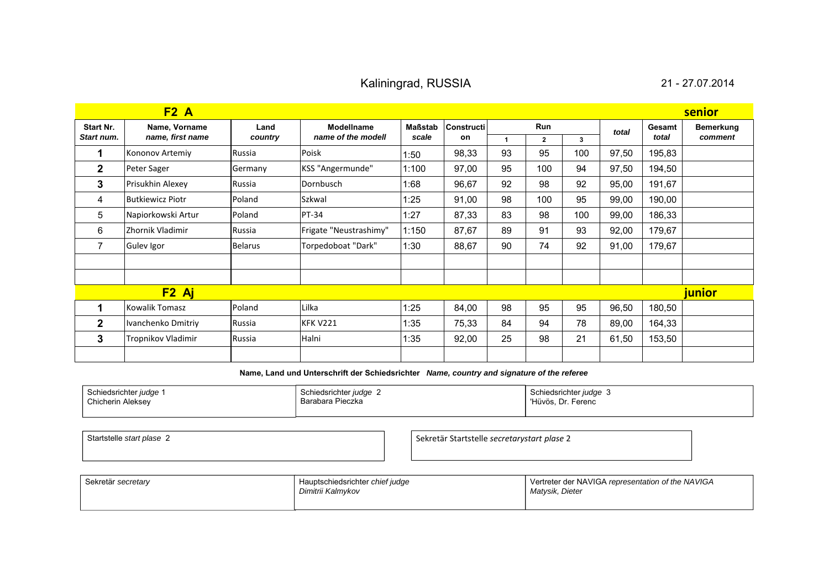## Kaliningrad, RUSSIA 21 - 27.07.2014

| F2A<br>senior  |                         |                |                        |                |                   |              |                |     |       |        |                     |
|----------------|-------------------------|----------------|------------------------|----------------|-------------------|--------------|----------------|-----|-------|--------|---------------------|
| Start Nr.      | Name, Vorname           | Land           | Modellname             | <b>Maßstab</b> | <b>Constructi</b> |              | Run            |     | total | Gesamt | Bemerkung           |
| Start num.     | name, first name        | country        | name of the modell     | scale          | on                | $\mathbf{1}$ | $\overline{2}$ | 3   |       | total  | comment             |
|                | Kononov Artemiy         | Russia         | Poisk                  | 1:50           | 98,33             | 93           | 95             | 100 | 97,50 | 195,83 |                     |
| $\overline{2}$ | Peter Sager             | Germany        | KSS "Angermunde"       | 1:100          | 97,00             | 95           | 100            | 94  | 97,50 | 194,50 |                     |
| 3              | Prisukhin Alexey        | Russia         | Dornbusch              | 1:68           | 96,67             | 92           | 98             | 92  | 95,00 | 191,67 |                     |
| 4              | <b>Butkiewicz Piotr</b> | Poland         | Szkwal                 | 1:25           | 91,00             | 98           | 100            | 95  | 99,00 | 190,00 |                     |
| 5              | Napiorkowski Artur      | Poland         | PT-34                  | 1:27           | 87,33             | 83           | 98             | 100 | 99,00 | 186,33 |                     |
| 6              | Zhornik Vladimir        | Russia         | Frigate "Neustrashimy" | 1:150          | 87,67             | 89           | 91             | 93  | 92,00 | 179,67 |                     |
|                | Gulev Igor              | <b>Belarus</b> | Torpedoboat "Dark"     | 1:30           | 88,67             | 90           | 74             | 92  | 91,00 | 179,67 |                     |
|                |                         |                |                        |                |                   |              |                |     |       |        |                     |
|                |                         |                |                        |                |                   |              |                |     |       |        |                     |
|                | $F2$ Aj                 |                |                        |                |                   |              |                |     |       |        | <mark>iunior</mark> |
|                | Kowalik Tomasz          | Poland         | Lilka                  | 1:25           | 84,00             | 98           | 95             | 95  | 96,50 | 180,50 |                     |
| $\mathbf{2}$   | Ivanchenko Dmitriy      | Russia         | <b>KFK V221</b>        | 1:35           | 75,33             | 84           | 94             | 78  | 89,00 | 164,33 |                     |
| 3              | Tropnikov Vladimir      | Russia         | Halni                  | 1:35           | 92,00             | 25           | 98             | 21  | 61,50 | 153,50 |                     |
|                |                         |                |                        |                |                   |              |                |     |       |        |                     |

| Schiedsrichter <i>judge</i><br>Chicherin Aleksey | Schiedsrichter judge 2<br>Barabara Pieczka | Schiedsrichter judge 3<br>'Hüvös.<br>Ferenc<br>Dr.<br>ப |
|--------------------------------------------------|--------------------------------------------|---------------------------------------------------------|
|                                                  |                                            |                                                         |

| Startstelle start plase 2 | Sekretär Startstelle secretarystart plase 2 |
|---------------------------|---------------------------------------------|
|                           |                                             |
|                           |                                             |

| Sekretär secretary | Hauptschiedsrichter chief judge<br>Dimitrii Kalmykov | Vertreter der NAVIGA representation of the NAVIGA<br>Matysik, Dieter |
|--------------------|------------------------------------------------------|----------------------------------------------------------------------|
|--------------------|------------------------------------------------------|----------------------------------------------------------------------|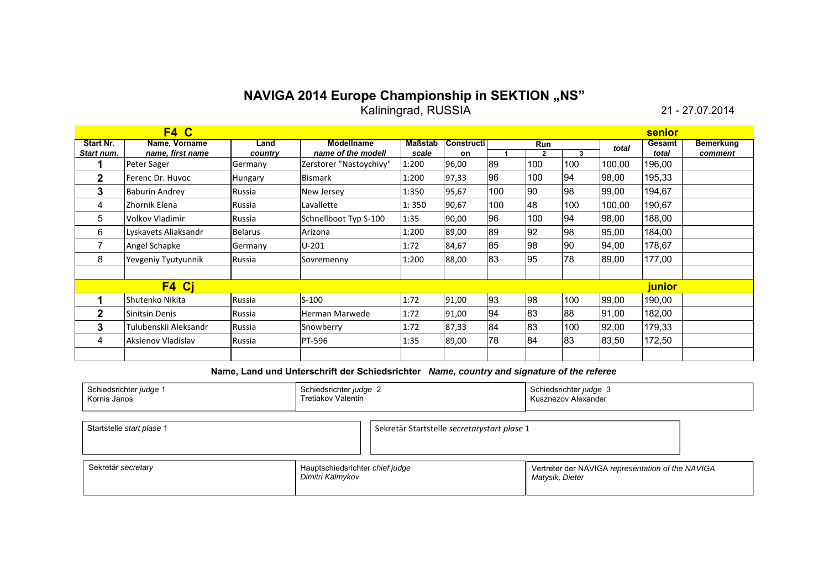# **NAVIGA 2014 Europe Championship in SEKTION "NS"**

Kaliningrad, RUSSIA 21 - 27.07.2014

|                         | F4 C                              |                 |                                         |                         |                         |     |            |     |        | senior          |                             |
|-------------------------|-----------------------------------|-----------------|-----------------------------------------|-------------------------|-------------------------|-----|------------|-----|--------|-----------------|-----------------------------|
| Start Nr.<br>Start num. | Name, Vorname<br>name, first name | Land<br>country | <b>Modellname</b><br>name of the modell | <b>Maßstab</b><br>scale | <b>Constructi</b><br>on |     | <b>Run</b> | 3   | total  | Gesamt<br>total | <b>Bemerkung</b><br>comment |
|                         | Peter Sager                       | Germany         | Zerstorer "Nastoychivy"                 | 1:200                   | 96,00                   | 89  | 100        | 100 | 100,00 | 196,00          |                             |
| $\mathbf{2}$            | Ferenc Dr. Huvoc                  | <b>Hungary</b>  | <b>Bismark</b>                          | 1:200                   | 97,33                   | 96  | 100        | 94  | 98,00  | 195,33          |                             |
| 3                       | <b>Baburin Andrey</b>             | Russia          | New Jersey                              | 1:350                   | 95,67                   | 100 | 90         | 98  | 99,00  | 194,67          |                             |
| 4                       | Zhornik Elena                     | Russia          | Lavallette                              | 1:350                   | 90,67                   | 100 | 48         | 100 | 100,00 | 190,67          |                             |
| 5                       | Volkov Vladimir                   | Russia          | Schnellboot Typ S-100                   | 1:35                    | 90,00                   | 96  | 100        | 94  | 98,00  | 188,00          |                             |
| 6                       | Lyskavets Aliaksandr              | <b>Belarus</b>  | Arizona                                 | 1:200                   | 89,00                   | 89  | 92         | 98  | 95,00  | 184,00          |                             |
|                         | Angel Schapke                     | Germany         | $U-201$                                 | 1:72                    | 84,67                   | 85  | 98         | 90  | 94,00  | 178,67          |                             |
| 8                       | Yevgeniy Tyutyunnik               | Russia          | Sovremenny                              | 1:200                   | 88,00                   | 83  | 95         | 78  | 89,00  | 177,00          |                             |
|                         |                                   |                 |                                         |                         |                         |     |            |     |        |                 |                             |
|                         | F4 Ci                             |                 |                                         |                         |                         |     |            |     |        | <u>junior</u>   |                             |
|                         | Shutenko Nikita                   | Russia          | $S-100$                                 | 1:72                    | 91,00                   | 93  | 98         | 100 | 99,00  | 190,00          |                             |
| $\mathbf 2$             | Sinitsin Denis                    | Russia          | Herman Marwede                          | 1:72                    | 91,00                   | 94  | 83         | 88  | 91,00  | 182,00          |                             |
| 3                       | Tulubenskii Aleksandr             | Russia          | Snowberry                               | 1:72                    | 87,33                   | 84  | 83         | 100 | 92,00  | 179,33          |                             |
| 4                       | Aksienov Vladislav                | Russia          | PT-596                                  | 1:35                    | 89,00                   | 78  | 84         | 83  | 83,50  | 172,50          |                             |
|                         |                                   |                 |                                         |                         |                         |     |            |     |        |                 |                             |

| Schiedsrichter | Schiedsrichter <i>judge</i> | Schiedsrichter judge 3 |
|----------------|-----------------------------|------------------------|
| <i>udqe</i>    | Fretiakov Valentin          | Alexander              |
| Kornis Janos   |                             | Kusznezov              |
|                |                             |                        |

| Startstelle start plase 1 | Sekretär Startstelle secretarystart plase 1 |  |
|---------------------------|---------------------------------------------|--|
|                           |                                             |  |
|                           |                                             |  |
|                           |                                             |  |

| Sekretär secretary | Hauptschiedsrichter chief judge<br>Dimitri Kalmykov | Vertreter der NAVIGA representation of the NAVIGA<br>Matysik, Dieter |
|--------------------|-----------------------------------------------------|----------------------------------------------------------------------|
|--------------------|-----------------------------------------------------|----------------------------------------------------------------------|